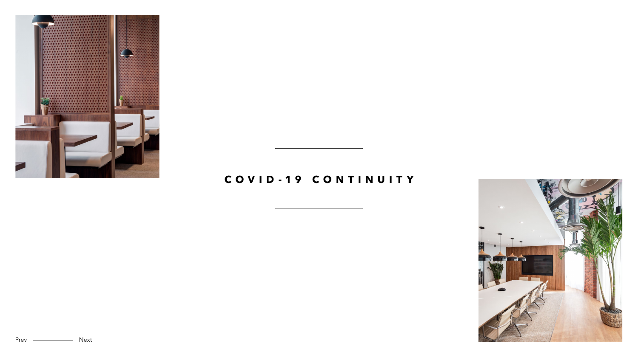

Prev <u>- Next</u>



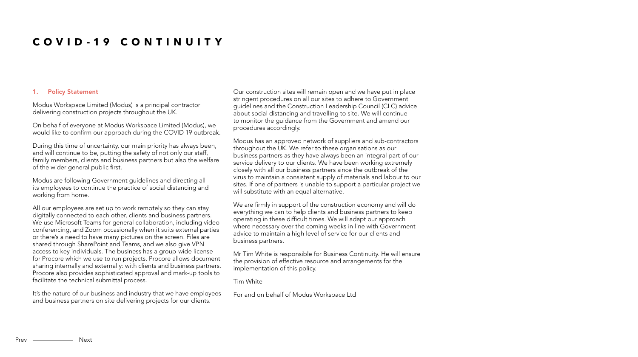### 1. Policy Statement

Modus Workspace Limited (Modus) is a principal contractor delivering construction projects throughout the UK.

On behalf of everyone at Modus Workspace Limited (Modus), we would like to confirm our approach during the COVID 19 outbreak.

During this time of uncertainty, our main priority has always been, and will continue to be, putting the safety of not only our staff, family members, clients and business partners but also the welfare of the wider general public first.

Modus are following Government guidelines and directing all its employees to continue the practice of social distancing and working from home.

Modus has an approved network of suppliers and sub-contractors throughout the UK. We refer to these organisations as our business partners as they have always been an integral part of our service delivery to our clients. We have been working extremely closely with all our business partners since the outbreak of the virus to maintain a consistent supply of materials and labour to our sites. If one of partners is unable to support a particular project we will substitute with an equal alternative.

All our employees are set up to work remotely so they can stay digitally connected to each other, clients and business partners. We use Microsoft Teams for general collaboration, including video conferencing, and Zoom occasionally when it suits external parties or there's a need to have many pictures on the screen. Files are shared through SharePoint and Teams, and we also give VPN access to key individuals. The business has a group-wide license for Procore which we use to run projects. Procore allows document sharing internally and externally: with clients and business partners. Procore also provides sophisticated approval and mark-up tools to facilitate the technical submittal process.

It's the nature of our business and industry that we have employees and business partners on site delivering projects for our clients.

Our construction sites will remain open and we have put in place stringent procedures on all our sites to adhere to Government guidelines and the Construction Leadership Council (CLC) advice about social distancing and travelling to site. We will continue to monitor the guidance from the Government and amend our procedures accordingly.

We are firmly in support of the construction economy and will do everything we can to help clients and business partners to keep operating in these difficult times. We will adapt our approach where necessary over the coming weeks in line with Government advice to maintain a high level of service for our clients and business partners.

Mr Tim White is responsible for Business Continuity. He will ensure the provision of effective resource and arrangements for the implementation of this policy.

#### Tim White

For and on behalf of Modus Workspace Ltd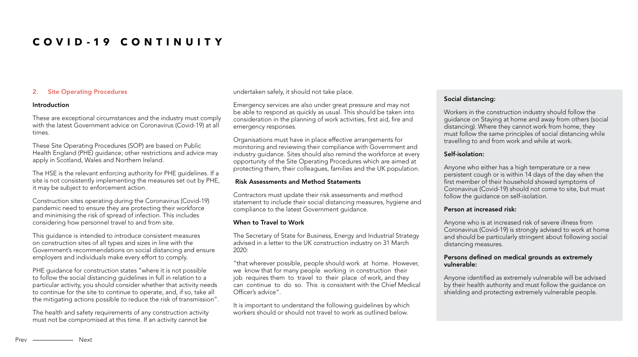# 2. Site Operating Procedures

#### Introduction

These are exceptional circumstances and the industry must comply with the latest Government advice on Coronavirus (Covid-19) at all times.

These Site Operating Procedures (SOP) are based on Public Health England (PHE) guidance; other restrictions and advice may apply in Scotland, Wales and Northern Ireland.

The HSE is the relevant enforcing authority for PHE guidelines. If a site is not consistently implementing the measures set out by PHE, it may be subject to enforcement action.

Construction sites operating during the Coronavirus (Covid-19) pandemic need to ensure they are protecting their workforce and minimising the risk of spread of infection. This includes considering how personnel travel to and from site.

This guidance is intended to introduce consistent measures on construction sites of all types and sizes in line with the Government's recommendations on social distancing and ensure employers and individuals make every effort to comply.

PHE guidance for construction states "where it is not possible to follow the social distancing guidelines in full in relation to a particular activity, you should consider whether that activity needs to continue for the site to continue to operate, and, if so, take all the mitigating actions possible to reduce the risk of transmission".

The health and safety requirements of any construction activity must not be compromised at this time. If an activity cannot be

undertaken safely, it should not take place.

Emergency services are also under great pressure and may not be able to respond as quickly as usual. This should be taken into consideration in the planning of work activities, first aid, fire and emergency responses.

Organisations must have in place effective arrangements for monitoring and reviewing their compliance with Government and industry guidance. Sites should also remind the workforce at every opportunity of the Site Operating Procedures which are aimed at protecting them, their colleagues, families and the UK population.

### Risk Assessments and Method Statements

Contractors must update their risk assessments and method statement to include their social distancing measures, hygiene and compliance to the latest Government guidance.

### When to Travel to Work

The Secretary of State for Business, Energy and Industrial Strategy advised in a letter to the UK construction industry on 31 March 2020:

"that wherever possible, people should work at home. However, we know that for many people working in construction their job requires them to travel to their place of work, and they can continue to do so. This is consistent with the Chief Medical Officer's advice".

It is important to understand the following guidelines by which workers should or should not travel to work as outlined below.

# Social distancing:

Workers in the construction industry should follow the guidance on Staying at home and away from others (social distancing). Where they cannot work from home, they must follow the same principles of social distancing while travelling to and from work and while at work.

# Self-isolation:

Anyone who either has a high temperature or a new persistent cough or is within 14 days of the day when the first member of their household showed symptoms of Coronavirus (Covid-19) should not come to site, but must follow the guidance on self-isolation.

### Person at increased risk:

Anyone who is at increased risk of severe illness from Coronavirus (Covid-19) is strongly advised to work at home and should be particularly stringent about following social distancing measures.

# Persons defined on medical grounds as extremely vulnerable:

Anyone identified as extremely vulnerable will be advised by their health authority and must follow the guidance on shielding and protecting extremely vulnerable people.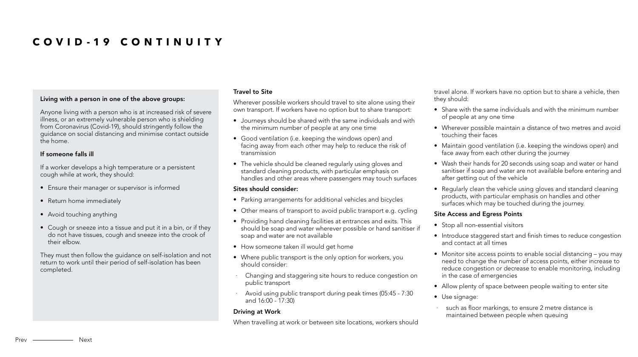### Living with a person in one of the above groups:

Anyone living with a person who is at increased risk of severe illness, or an extremely vulnerable person who is shielding from Coronavirus (Covid-19), should stringently follow the guidance on social distancing and minimise contact outside the home.

# If someone falls ill

If a worker develops a high temperature or a persistent cough while at work, they should:

- Ensure their manager or supervisor is informed
- Return home immediately
- Avoid touching anything
- Cough or sneeze into a tissue and put it in a bin, or if they do not have tissues, cough and sneeze into the crook of their elbow.

They must then follow the guidance on self-isolation and not return to work until their period of self-isolation has been completed.

### Travel to Site

Wherever possible workers should travel to site alone using their own transport. If workers have no option but to share transport:

- Journeys should be shared with the same individuals and with the minimum number of people at any one time
- Good ventilation (i.e. keeping the windows open) and facing away from each other may help to reduce the risk of transmission
- The vehicle should be cleaned regularly using gloves and standard cleaning products, with particular emphasis on handles and other areas where passengers may touch surfaces

### Sites should consider:

- Parking arrangements for additional vehicles and bicycles
- Other means of transport to avoid public transport e.g. cycling
- Providing hand cleaning facilities at entrances and exits. This should be soap and water wherever possible or hand sanitiser if soap and water are not available
- How someone taken ill would get home
- Where public transport is the only option for workers, you should consider:
- Changing and staggering site hours to reduce congestion on public transport
- · Avoid using public transport during peak times (05:45 7:30 and 16:00 - 17:30)

### Driving at Work

When travelling at work or between site locations, workers should

travel alone. If workers have no option but to share a vehicle, then they should:

- Share with the same individuals and with the minimum number of people at any one time
- Wherever possible maintain a distance of two metres and avoid touching their faces
- Maintain good ventilation (i.e. keeping the windows open) and face away from each other during the journey
- Wash their hands for 20 seconds using soap and water or hand sanitiser if soap and water are not available before entering and after getting out of the vehicle
- Regularly clean the vehicle using gloves and standard cleaning products, with particular emphasis on handles and other surfaces which may be touched during the journey.

# Site Access and Egress Points

- Stop all non-essential visitors
- Introduce staggered start and finish times to reduce congestion and contact at all times
- Monitor site access points to enable social distancing you may need to change the number of access points, either increase to reduce congestion or decrease to enable monitoring, including in the case of emergencies
- Allow plenty of space between people waiting to enter site
- Use signage:
- · such as floor markings, to ensure 2 metre distance is maintained between people when queuing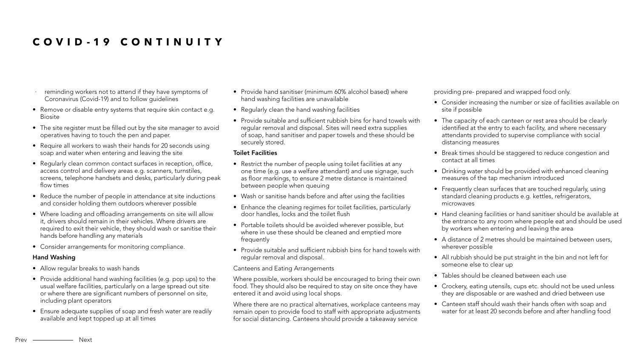- Provide hand sanitiser (minimum 60% alcohol based) where hand washing facilities are unavailable
- Regularly clean the hand washing facilities
- Provide suitable and sufficient rubbish bins for hand towels with regular removal and disposal. Sites will need extra supplies of soap, hand sanitiser and paper towels and these should be securely stored.

# Toilet Facilities

- Restrict the number of people using toilet facilities at any one time (e.g. use a welfare attendant) and use signage, such as floor markings, to ensure 2 metre distance is maintained between people when queuing
- Wash or sanitise hands before and after using the facilities
- Enhance the cleaning regimes for toilet facilities, particularly door handles, locks and the toilet flush
- Portable toilets should be avoided wherever possible, but where in use these should be cleaned and emptied more frequently
- Provide suitable and sufficient rubbish bins for hand towels with regular removal and disposal.

# Canteens and Eating Arrangements

Where possible, workers should be encouraged to bring their own food. They should also be required to stay on site once they have entered it and avoid using local shops.

Where there are no practical alternatives, workplace canteens may remain open to provide food to staff with appropriate adjustments for social distancing. Canteens should provide a takeaway service

providing pre- prepared and wrapped food only.

- reminding workers not to attend if they have symptoms of Coronavirus (Covid-19) and to follow guidelines
- Remove or disable entry systems that require skin contact e.g. Biosite
- The site register must be filled out by the site manager to avoid operatives having to touch the pen and paper.
- Require all workers to wash their hands for 20 seconds using soap and water when entering and leaving the site
- Regularly clean common contact surfaces in reception, office, access control and delivery areas e.g. scanners, turnstiles, screens, telephone handsets and desks, particularly during peak flow times
- Reduce the number of people in attendance at site inductions and consider holding them outdoors wherever possible
- Where loading and offloading arrangements on site will allow it, drivers should remain in their vehicles. Where drivers are required to exit their vehicle, they should wash or sanitise their hands before handling any materials
- Consider arrangements for monitoring compliance.
- Consider increasing the number or size of facilities available on site if possible
- The capacity of each canteen or rest area should be clearly identified at the entry to each facility, and where necessary attendants provided to supervise compliance with social distancing measures
- Break times should be staggered to reduce congestion and contact at all times
- Drinking water should be provided with enhanced cleaning measures of the tap mechanism introduced
- Frequently clean surfaces that are touched regularly, using standard cleaning products e.g. kettles, refrigerators, microwaves
- Hand cleaning facilities or hand sanitiser should be available at the entrance to any room where people eat and should be used by workers when entering and leaving the area
- A distance of 2 metres should be maintained between users, wherever possible
- All rubbish should be put straight in the bin and not left for someone else to clear up
- Tables should be cleaned between each use
- Crockery, eating utensils, cups etc. should not be used unless they are disposable or are washed and dried between use
- Canteen staff should wash their hands often with soap and water for at least 20 seconds before and after handling food

# Hand Washing

- Allow regular breaks to wash hands
- Provide additional hand washing facilities (e.g. pop ups) to the usual welfare facilities, particularly on a large spread out site or where there are significant numbers of personnel on site, including plant operators
- Ensure adequate supplies of soap and fresh water are readily available and kept topped up at all times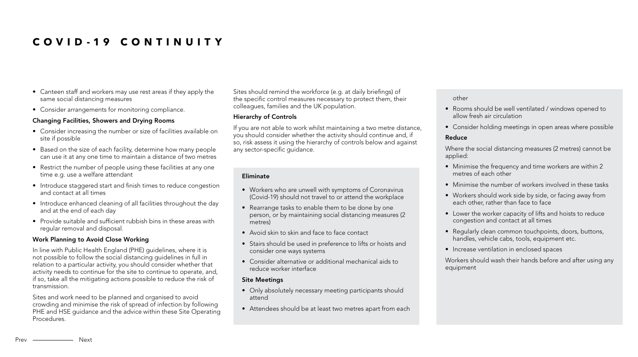Sites should remind the workforce (e.g. at daily briefings) of the specific control measures necessary to protect them, their colleagues, families and the UK population.

# Hierarchy of Controls

If you are not able to work whilst maintaining a two metre distance, you should consider whether the activity should continue and, if so, risk assess it using the hierarchy of controls below and against any sector-specific guidance.

- Canteen staff and workers may use rest areas if they apply the same social distancing measures
- Consider arrangements for monitoring compliance.

# Changing Facilities, Showers and Drying Rooms

- Consider increasing the number or size of facilities available on site if possible
- Based on the size of each facility, determine how many people can use it at any one time to maintain a distance of two metres
- Restrict the number of people using these facilities at any one time e.g. use a welfare attendant
- Introduce staggered start and finish times to reduce congestion and contact at all times
- Introduce enhanced cleaning of all facilities throughout the day and at the end of each day
- Provide suitable and sufficient rubbish bins in these areas with regular removal and disposal.

- Only absolutely necessary meeting participants should attend
- Attendees should be at least two metres apart from each

### Work Planning to Avoid Close Working

In line with Public Health England (PHE) guidelines, where it is not possible to follow the social distancing guidelines in full in relation to a particular activity, you should consider whether that activity needs to continue for the site to continue to operate, and, if so, take all the mitigating actions possible to reduce the risk of transmission.

Sites and work need to be planned and organised to avoid crowding and minimise the risk of spread of infection by following PHE and HSE guidance and the advice within these Site Operating Procedures.

#### Eliminate

- Workers who are unwell with symptoms of Coronavirus (Covid-19) should not travel to or attend the workplace
- Rearrange tasks to enable them to be done by one person, or by maintaining social distancing measures (2 metres)
- Avoid skin to skin and face to face contact
- Stairs should be used in preference to lifts or hoists and consider one ways systems
- Consider alternative or additional mechanical aids to reduce worker interface

### Site Meetings

other

- Rooms should be well ventilated / windows opened to allow fresh air circulation
- Consider holding meetings in open areas where possible

# Reduce

Where the social distancing measures (2 metres) cannot be applied:

- Minimise the frequency and time workers are within 2 metres of each other
- Minimise the number of workers involved in these tasks
- Workers should work side by side, or facing away from each other, rather than face to face
- Lower the worker capacity of lifts and hoists to reduce congestion and contact at all times
- Regularly clean common touchpoints, doors, buttons, handles, vehicle cabs, tools, equipment etc.
- Increase ventilation in enclosed spaces

Workers should wash their hands before and after using any equipment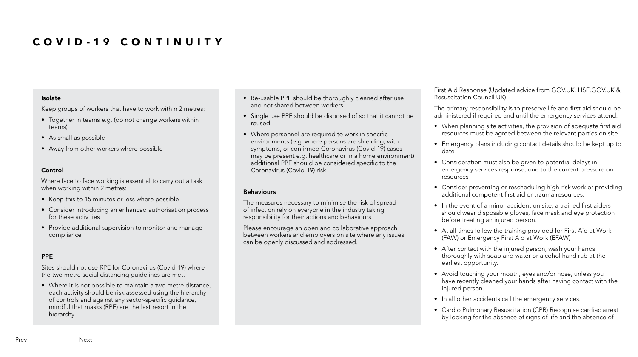- Re-usable PPE should be thoroughly cleaned after use and not shared between workers
- Single use PPE should be disposed of so that it cannot be reused
- Where personnel are required to work in specific environments (e.g. where persons are shielding, with symptoms, or confirmed Coronavirus (Covid-19) cases may be present e.g. healthcare or in a home environment) additional PPE should be considered specific to the Coronavirus (Covid-19) risk

### **Behaviours**

The measures necessary to minimise the risk of spread of infection rely on everyone in the industry taking responsibility for their actions and behaviours.

Please encourage an open and collaborative approach between workers and employers on site where any issues can be openly discussed and addressed.

- 
- 

#### Isolate

Keep groups of workers that have to work within 2 metres:

- Together in teams e.g. (do not change workers within teams)
- As small as possible
- Away from other workers where possible

#### Control

Where face to face working is essential to carry out a task when working within 2 metres:

- Keep this to 15 minutes or less where possible
- Consider introducing an enhanced authorisation process for these activities
- Provide additional supervision to monitor and manage compliance

### PPE

Sites should not use RPE for Coronavirus (Covid-19) where the two metre social distancing guidelines are met.

• Where it is not possible to maintain a two metre distance, each activity should be risk assessed using the hierarchy of controls and against any sector-specific guidance, mindful that masks (RPE) are the last resort in the hierarchy

First Aid Response (Updated advice from GOV.UK, HSE.GOV.UK & Resuscitation Council UK)

The primary responsibility is to preserve life and first aid should be administered if required and until the emergency services attend.

- When planning site activities, the provision of adequate first aid resources must be agreed between the relevant parties on site
- Emergency plans including contact details should be kept up to date
- Consideration must also be given to potential delays in emergency services response, due to the current pressure on resources
- Consider preventing or rescheduling high-risk work or providing additional competent first aid or trauma resources.
- In the event of a minor accident on site, a trained first aiders should wear disposable gloves, face mask and eye protection before treating an injured person.
- At all times follow the training provided for First Aid at Work (FAW) or Emergency First Aid at Work (EFAW)
- After contact with the injured person, wash your hands thoroughly with soap and water or alcohol hand rub at the earliest opportunity.
- Avoid touching your mouth, eyes and/or nose, unless you have recently cleaned your hands after having contact with the injured person.
- In all other accidents call the emergency services.
- Cardio Pulmonary Resuscitation (CPR) Recognise cardiac arrest by looking for the absence of signs of life and the absence of